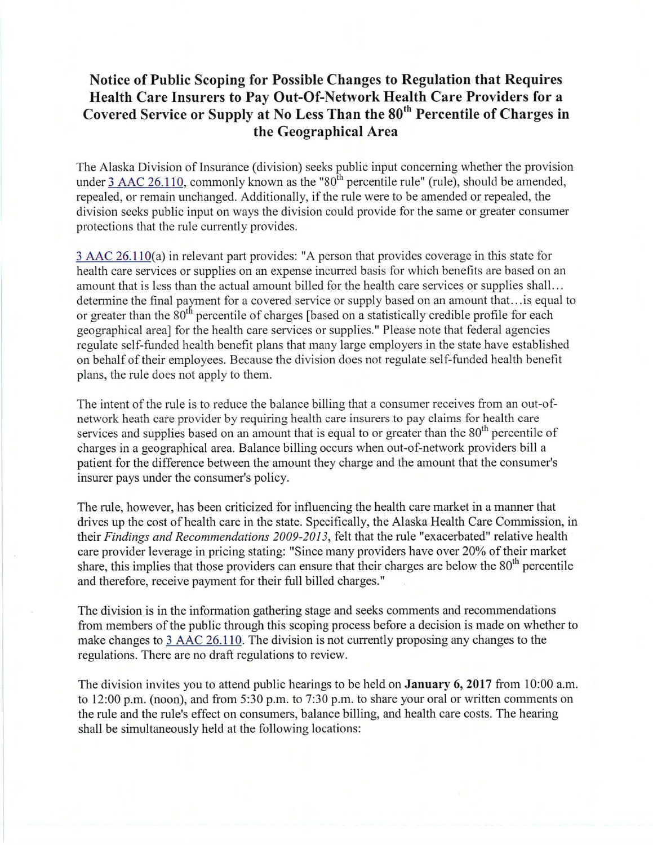## **Notice of Public Scoping for Possible Changes to Regulation that Requires Health Care Insurers to Pay Out-Of-Network Health Care Providers for a**  Covered Service or Supply at No Less Than the 80<sup>th</sup> Percentile of Charges in **the Geographical Area**

The Alaska Division of Insurance (division) seeks public input concerning whether the provision under  $\frac{3 \text{ AAC } 26.110}{20.110}$ , commonly known as the "80<sup>th</sup> percentile rule" (rule), should be amended, repealed, or remain unchanged. Additionally, if the rule were to be amended or repealed, the division seeks public input on ways the division could provide for the same or greater consumer protections that the rule currently provides.

3 AAC 26.11 O(a) in relevant part provides: "A person that provides coverage in this state for health care services or supplies on an expense incurred basis for which benefits are based on an amount that is less than the actual amount billed for the health care services or supplies shall. . . determine the final payment for a covered service or supply based on an amount that... is equal to or greater than the  $80<sup>th</sup>$  percentile of charges [based on a statistically credible profile for each geographical area] for the health care services or supplies." Please note that federal agencies regulate self-funded health benefit plans that many large employers in the state have established on behalf of their employees. Because the division does not regulate self-funded health benefit plans, the rule does not apply to them.

The intent of the rule is to reduce the balance billing that a consumer receives from an out-ofnetwork heath care provider by requiring health care insurers to pay claims for health care services and supplies based on an amount that is equal to or greater than the  $80<sup>th</sup>$  percentile of charges in a geographical area. Balance billing occurs when out-of-network providers bill a patient for the difference between the amount they charge and the amount that the consumer's insurer pays under the consumer's policy.

The rule, however, has been criticized for influencing the health care market in a manner that drives up the cost of health care in the state. Specifically, the Alaska Health Care Commission, in their *Findings and Recommendations 2009-2013,* felt that the rule "exacerbated" relative health care provider leverage in pricing stating: "Since many providers have over 20% of their market share, this implies that those providers can ensure that their charges are below the  $80<sup>th</sup>$  percentile and therefore, receive payment for their full billed charges."

The division is in the information gathering stage and seeks comments and recommendations from members of the public through this scoping process before a decision is made on whether to make changes to 3 AAC 26. 110. The division is not currently proposing any changes to the regulations. There are no draft regulations to review.

The division invites you to attend public hearings to be held on **January 6, 2017** from 10:00 a.m. to 12:00 p.m. (noon), and from 5:30 p.m. to 7:30 p.m. to share your oral or written comments on the rule and the rule's effect on consumers, balance billing, and health care costs. The hearing shall be simultaneously held at the following locations: